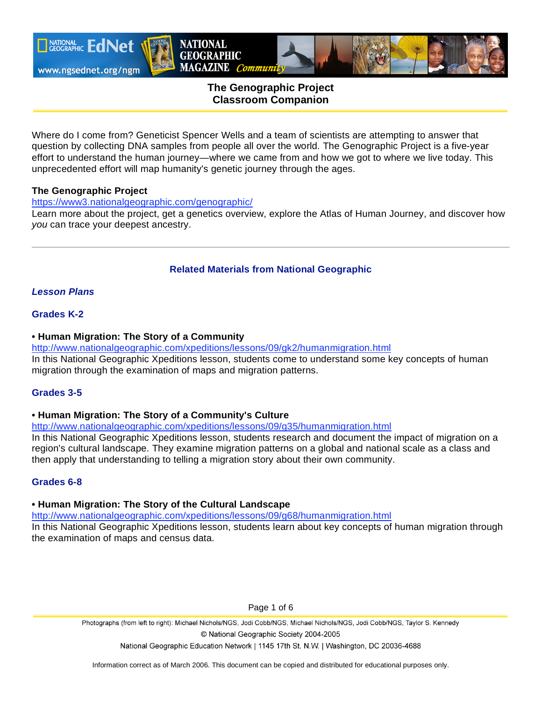

# **The Genographic Project Classroom Companion**

**NATIONAL GEOGRAPHIC** 

MAGAZINE Community

Where do I come from? Geneticist Spencer Wells and a team of scientists are attempting to answer that question by collecting DNA samples from people all over the world. The Genographic Project is a five-year effort to understand the human journey—where we came from and how we got to where we live today. This unprecedented effort will map humanity's genetic journey through the ages.

#### **The Genographic Project**

https://www3.nationalgeographic.com/genographic/

Learn more about the project, get a genetics overview, explore the Atlas of Human Journey, and discover how *you* can trace your deepest ancestry.

# **Related Materials from National Geographic**

# *Lesson Plans*

# **Grades K-2**

### **• Human Migration: The Story of a Community**

http://www.nationalgeographic.com/xpeditions/lessons/09/gk2/humanmigration.html In this National Geographic Xpeditions lesson, students come to understand some key concepts of human migration through the examination of maps and migration patterns.

#### **Grades 3-5**

#### **• Human Migration: The Story of a Community's Culture**

http://www.nationalgeographic.com/xpeditions/lessons/09/g35/humanmigration.html

In this National Geographic Xpeditions lesson, students research and document the impact of migration on a region's cultural landscape. They examine migration patterns on a global and national scale as a class and then apply that understanding to telling a migration story about their own community.

# **Grades 6-8**

#### **• Human Migration: The Story of the Cultural Landscape**

http://www.nationalgeographic.com/xpeditions/lessons/09/g68/humanmigration.html

In this National Geographic Xpeditions lesson, students learn about key concepts of human migration through the examination of maps and census data.

Page 1 of 6

Photographs (from left to right): Michael Nichols/NGS, Jodi Cobb/NGS, Michael Nichols/NGS, Jodi Cobb/NGS, Taylor S. Kennedy © National Geographic Society 2004-2005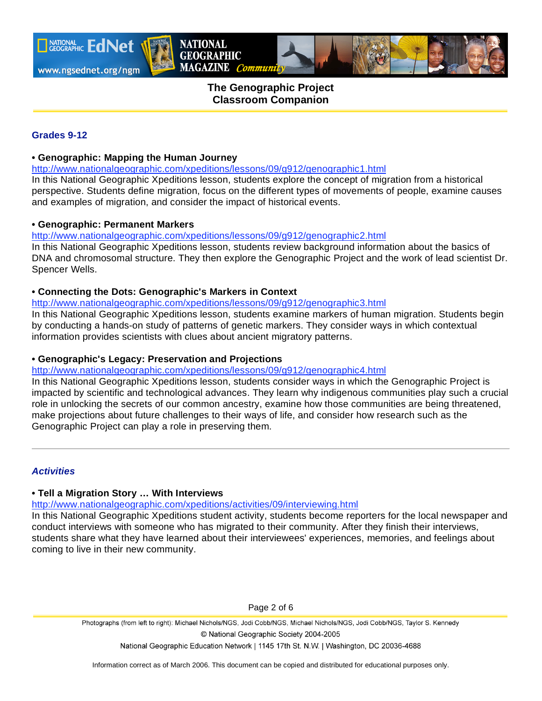

I NATIONAL EdNet

# **The Genographic Project Classroom Companion**

### **Grades 9-12**

### **• Genographic: Mapping the Human Journey**

http://www.nationalgeographic.com/xpeditions/lessons/09/g912/genographic1.html

**NATIONAL GEOGRAPHIC** 

MAGAZINE Community

In this National Geographic Xpeditions lesson, students explore the concept of migration from a historical perspective. Students define migration, focus on the different types of movements of people, examine causes and examples of migration, and consider the impact of historical events.

#### **• Genographic: Permanent Markers**

http://www.nationalgeographic.com/xpeditions/lessons/09/g912/genographic2.html

In this National Geographic Xpeditions lesson, students review background information about the basics of DNA and chromosomal structure. They then explore the Genographic Project and the work of lead scientist Dr. Spencer Wells.

# **• Connecting the Dots: Genographic's Markers in Context**

http://www.nationalgeographic.com/xpeditions/lessons/09/g912/genographic3.html

In this National Geographic Xpeditions lesson, students examine markers of human migration. Students begin by conducting a hands-on study of patterns of genetic markers. They consider ways in which contextual information provides scientists with clues about ancient migratory patterns.

# **• Genographic's Legacy: Preservation and Projections**

http://www.nationalgeographic.com/xpeditions/lessons/09/g912/genographic4.html

In this National Geographic Xpeditions lesson, students consider ways in which the Genographic Project is impacted by scientific and technological advances. They learn why indigenous communities play such a crucial role in unlocking the secrets of our common ancestry, examine how those communities are being threatened, make projections about future challenges to their ways of life, and consider how research such as the Genographic Project can play a role in preserving them.

### *Activities*

#### **• Tell a Migration Story … With Interviews**

http://www.nationalgeographic.com/xpeditions/activities/09/interviewing.html

In this National Geographic Xpeditions student activity, students become reporters for the local newspaper and conduct interviews with someone who has migrated to their community. After they finish their interviews, students share what they have learned about their interviewees' experiences, memories, and feelings about coming to live in their new community.

Page 2 of 6

Photographs (from left to right): Michael Nichols/NGS, Jodi Cobb/NGS, Michael Nichols/NGS, Jodi Cobb/NGS, Taylor S. Kennedy © National Geographic Society 2004-2005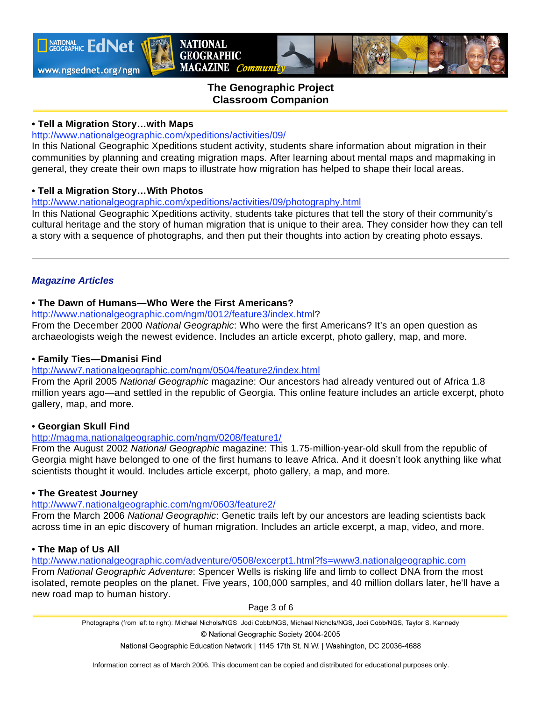

**TAATIONAL EdNet** 

# **The Genographic Project Classroom Companion**

### **• Tell a Migration Story…with Maps**

### http://www.nationalgeographic.com/xpeditions/activities/09/

In this National Geographic Xpeditions student activity, students share information about migration in their communities by planning and creating migration maps. After learning about mental maps and mapmaking in general, they create their own maps to illustrate how migration has helped to shape their local areas.

### **• Tell a Migration Story…With Photos**

### http://www.nationalgeographic.com/xpeditions/activities/09/photography.html

**NATIONAL GEOGRAPHIC** 

MAGAZINE Community

In this National Geographic Xpeditions activity, students take pictures that tell the story of their community's cultural heritage and the story of human migration that is unique to their area. They consider how they can tell a story with a sequence of photographs, and then put their thoughts into action by creating photo essays.

# *Magazine Articles*

# **• The Dawn of Humans—Who Were the First Americans?**

http://www.nationalgeographic.com/ngm/0012/feature3/index.html?

From the December 2000 *National Geographic*: Who were the first Americans? It's an open question as archaeologists weigh the newest evidence. Includes an article excerpt, photo gallery, map, and more.

# • **Family Ties—Dmanisi Find**

# http://www7.nationalgeographic.com/ngm/0504/feature2/index.html

From the April 2005 *National Geographic* magazine: Our ancestors had already ventured out of Africa 1.8 million years ago—and settled in the republic of Georgia. This online feature includes an article excerpt, photo gallery, map, and more.

# • **Georgian Skull Find**

# http://magma.nationalgeographic.com/ngm/0208/feature1/

From the August 2002 *National Geographic* magazine: This 1.75-million-year-old skull from the republic of Georgia might have belonged to one of the first humans to leave Africa. And it doesn't look anything like what scientists thought it would. Includes article excerpt, photo gallery, a map, and more.

#### **• The Greatest Journey**

#### http://www7.nationalgeographic.com/ngm/0603/feature2/

From the March 2006 *National Geographic*: Genetic trails left by our ancestors are leading scientists back across time in an epic discovery of human migration. Includes an article excerpt, a map, video, and more.

# • **The Map of Us All**

http://www.nationalgeographic.com/adventure/0508/excerpt1.html?fs=www3.nationalgeographic.com From *National Geographic Adventure*: Spencer Wells is risking life and limb to collect DNA from the most isolated, remote peoples on the planet. Five years, 100,000 samples, and 40 million dollars later, he'll have a new road map to human history.

Page 3 of 6

Photographs (from left to right): Michael Nichols/NGS, Jodi Cobb/NGS, Michael Nichols/NGS, Jodi Cobb/NGS, Taylor S. Kennedy © National Geographic Society 2004-2005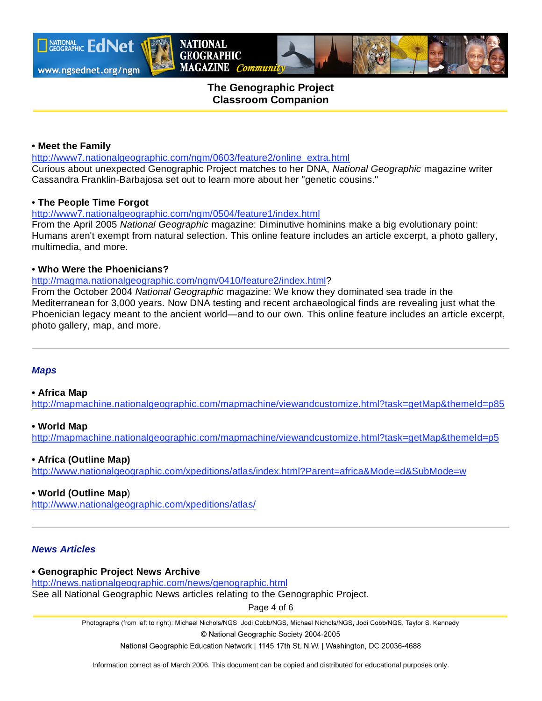

**TAATIONAL EdNet** 

# **The Genographic Project Classroom Companion**

### **• Meet the Family**

http://www7.nationalgeographic.com/ngm/0603/feature2/online\_extra.html Curious about unexpected Genographic Project matches to her DNA, *National Geographic* magazine writer Cassandra Franklin-Barbajosa set out to learn more about her "genetic cousins."

### • **The People Time Forgot**

http://www7.nationalgeographic.com/ngm/0504/feature1/index.html

**NATIONAL GEOGRAPHIC** 

MAGAZINE Community

From the April 2005 *National Geographic* magazine: Diminutive hominins make a big evolutionary point: Humans aren't exempt from natural selection. This online feature includes an article excerpt, a photo gallery, multimedia, and more.

### • **Who Were the Phoenicians?**

#### http://magma.nationalgeographic.com/ngm/0410/feature2/index.html?

From the October 2004 *National Geographic* magazine: We know they dominated sea trade in the Mediterranean for 3,000 years. Now DNA testing and recent archaeological finds are revealing just what the Phoenician legacy meant to the ancient world—and to our own. This online feature includes an article excerpt, photo gallery, map, and more.

# *Maps*

#### **• Africa Map**

http://mapmachine.nationalgeographic.com/mapmachine/viewandcustomize.html?task=getMap&themeId=p85

#### **• World Map**

http://mapmachine.nationalgeographic.com/mapmachine/viewandcustomize.html?task=getMap&themeId=p5

# **• Africa (Outline Map)**

http://www.nationalgeographic.com/xpeditions/atlas/index.html?Parent=africa&Mode=d&SubMode=w

# **• World (Outline Map**)

http://www.nationalgeographic.com/xpeditions/atlas/

# *News Articles*

#### **• Genographic Project News Archive**

http://news.nationalgeographic.com/news/genographic.html

See all National Geographic News articles relating to the Genographic Project.

Page 4 of 6

Photographs (from left to right): Michael Nichols/NGS, Jodi Cobb/NGS, Michael Nichols/NGS, Jodi Cobb/NGS, Taylor S. Kennedy

© National Geographic Society 2004-2005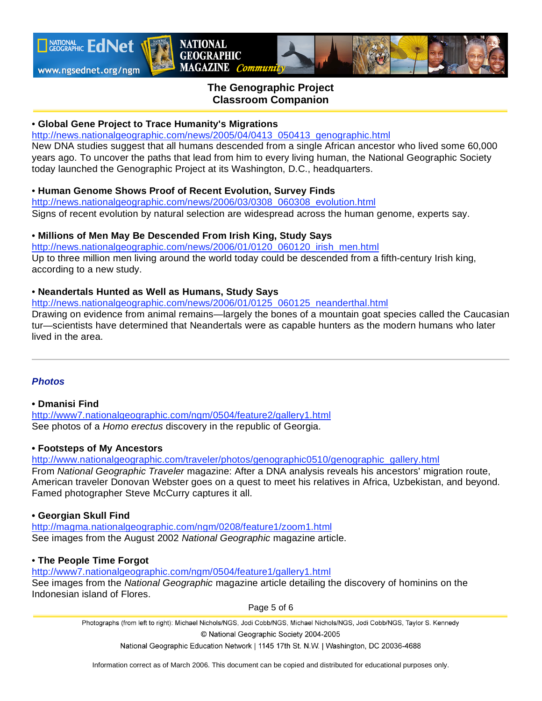

# **The Genographic Project Classroom Companion**

### • **Global Gene Project to Trace Humanity's Migrations**

http://news.nationalgeographic.com/news/2005/04/0413\_050413\_genographic.html

**NATIONAL GEOGRAPHIC** 

MAGAZINE Community

New DNA studies suggest that all humans descended from a single African ancestor who lived some 60,000 years ago. To uncover the paths that lead from him to every living human, the National Geographic Society today launched the Genographic Project at its Washington, D.C., headquarters.

#### • **Human Genome Shows Proof of Recent Evolution, Survey Finds**

http://news.nationalgeographic.com/news/2006/03/0308\_060308\_evolution.html Signs of recent evolution by natural selection are widespread across the human genome, experts say.

#### • **Millions of Men May Be Descended From Irish King, Study Says**

http://news.nationalgeographic.com/news/2006/01/0120\_060120\_irish\_men.html Up to three million men living around the world today could be descended from a fifth-century Irish king, according to a new study.

### • **Neandertals Hunted as Well as Humans, Study Says**

http://news.nationalgeographic.com/news/2006/01/0125\_060125\_neanderthal.html

Drawing on evidence from animal remains—largely the bones of a mountain goat species called the Caucasian tur—scientists have determined that Neandertals were as capable hunters as the modern humans who later lived in the area.

#### *Photos*

### **• Dmanisi Find**

http://www7.nationalgeographic.com/ngm/0504/feature2/gallery1.html See photos of a *Homo erectus* discovery in the republic of Georgia.

#### **• Footsteps of My Ancestors**

http://www.nationalgeographic.com/traveler/photos/genographic0510/genographic\_gallery.html From *National Geographic Traveler* magazine: After a DNA analysis reveals his ancestors' migration route, American traveler Donovan Webster goes on a quest to meet his relatives in Africa, Uzbekistan, and beyond. Famed photographer Steve McCurry captures it all.

### **• Georgian Skull Find**

http://magma.nationalgeographic.com/ngm/0208/feature1/zoom1.html See images from the August 2002 *National Geographic* magazine article.

#### • **The People Time Forgot**

http://www7.nationalgeographic.com/ngm/0504/feature1/gallery1.html See images from the *National Geographic* magazine article detailing the discovery of hominins on the Indonesian island of Flores.

Page 5 of 6

Photographs (from left to right): Michael Nichols/NGS, Jodi Cobb/NGS, Michael Nichols/NGS, Jodi Cobb/NGS, Taylor S. Kennedy © National Geographic Society 2004-2005